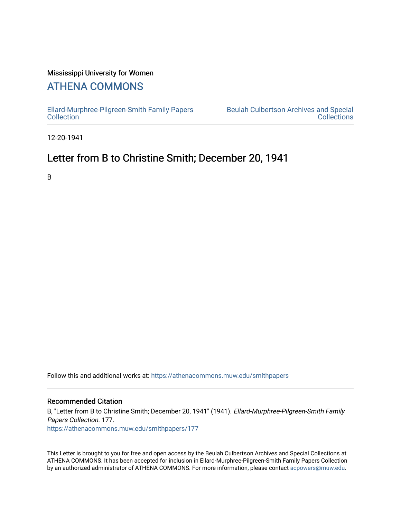### Mississippi University for Women

# [ATHENA COMMONS](https://athenacommons.muw.edu/)

[Ellard-Murphree-Pilgreen-Smith Family Papers](https://athenacommons.muw.edu/smithpapers) [Collection](https://athenacommons.muw.edu/smithpapers) 

[Beulah Culbertson Archives and Special](https://athenacommons.muw.edu/archives)  **Collections** 

12-20-1941

## Letter from B to Christine Smith; December 20, 1941

B

Follow this and additional works at: [https://athenacommons.muw.edu/smithpapers](https://athenacommons.muw.edu/smithpapers?utm_source=athenacommons.muw.edu%2Fsmithpapers%2F177&utm_medium=PDF&utm_campaign=PDFCoverPages)

### Recommended Citation

B, "Letter from B to Christine Smith; December 20, 1941" (1941). Ellard-Murphree-Pilgreen-Smith Family Papers Collection. 177. [https://athenacommons.muw.edu/smithpapers/177](https://athenacommons.muw.edu/smithpapers/177?utm_source=athenacommons.muw.edu%2Fsmithpapers%2F177&utm_medium=PDF&utm_campaign=PDFCoverPages)

This Letter is brought to you for free and open access by the Beulah Culbertson Archives and Special Collections at ATHENA COMMONS. It has been accepted for inclusion in Ellard-Murphree-Pilgreen-Smith Family Papers Collection by an authorized administrator of ATHENA COMMONS. For more information, please contact [acpowers@muw.edu.](mailto:acpowers@muw.edu)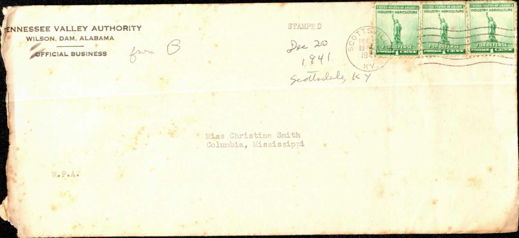#### **ENNESSEE VALLEY AUTHORITY**

WILSON, DAM, ALABAMA

OFFICIAL BUSINESS



**STAMPED** Dec 20 6 1000 SCO



\* Miss Christine Smith Columbia, Mississippi

W.P.A.